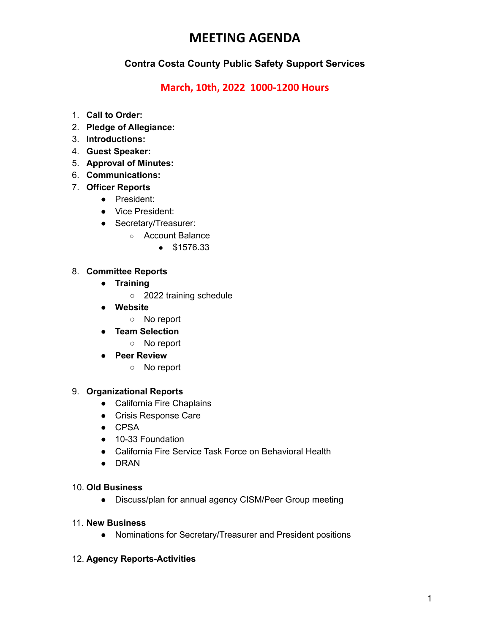## **MEETING AGENDA**

### **Contra Costa County Public Safety Support Services**

### **March, 10th, 2022 1000-1200 Hours**

- 1. **Call to Order:**
- 2. **Pledge of Allegiance:**
- 3. **Introductions:**
- 4. **Guest Speaker:**
- 5. **Approval of Minutes:**
- 6. **Communications:**
- 7. **Officer Reports**
	- **●** President:
	- **●** Vice President:
	- **●** Secretary/Treasurer:
		- Account Balance
			- \$1576.33

#### 8. **Committee Reports**

- **● Training**
	- 2022 training schedule
- **● Website**
	- No report
- **● Team Selection**
	- **○** No report
- **● Peer Review**
	- No report

#### 9. **Organizational Reports**

- **●** California Fire Chaplains
- **●** Crisis Response Care
- **●** CPSA
- **●** 10-33 Foundation
- **●** California Fire Service Task Force on Behavioral Health
- **●** DRAN

#### 10. **Old Business**

**●** Discuss/plan for annual agency CISM/Peer Group meeting

#### 11. **New Business**

● Nominations for Secretary/Treasurer and President positions

#### 12. **Agency Reports-Activities**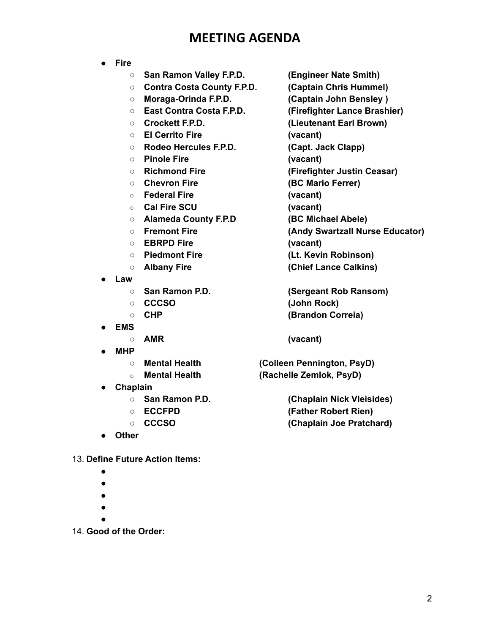## **MEETING AGENDA**

- **● Fire**
	- **San Ramon Valley F.P.D. (Engineer Nate Smith)**
	- **Contra Costa County F.P.D. (Captain Chris Hummel)**
	- **Moraga-Orinda F.P.D. (Captain John Bensley )**
	- **East Contra Costa F.P.D. (Firefighter Lance Brashier)**
	-
	- **El Cerrito Fire (vacant)**
	- **Rodeo Hercules F.P.D. (Capt. Jack Clapp)**
	- **Pinole Fire (vacant)**
	-
	-
	- **○ Federal Fire (vacant)**
	- **○ Cal Fire SCU (vacant)**
	- **Alameda County F.P.D (BC Michael Abele)**
	-
	- **○ EBRPD Fire (vacant)**
	-
	-
- **● Law**
	-
	-
	-
- **● EMS**
	-
- **● MHP**
	-
	-
- **● Chaplain**
	-
	-
	-
- **● Other**
- 13. **Define Future Action Items:**
	- **●**
	- **●**
	- **●**
	- **●**
	- **●**
- 14. **Good of the Order:**
- -
	-
	-
- **Crockett F.P.D. (Lieutenant Earl Brown)**
	-
	-
	-
- **Richmond Fire (Firefighter Justin Ceasar)**
- **○ Chevron Fire (BC Mario Ferrer)**
	-
	- -
- **○ Fremont Fire (Andy Swartzall Nurse Educator)**
	-
- **Piedmont Fire (Lt. Kevin Robinson)**
- **○ Albany Fire (Chief Lance Calkins)**
- **San Ramon P.D. (Sergeant Rob Ransom)** ○ **CCCSO (John Rock)** ○ **CHP (Brandon Correia)**
- **○ AMR (vacant)**

**○ Mental Health (Colleen Pennington, PsyD) ○ Mental Health (Rachelle Zemlok, PsyD)**

**○ San Ramon P.D. (Chaplain Nick Vleisides)** ○ **ECCFPD (Father Robert Rien) ○ CCCSO (Chaplain Joe Pratchard)**